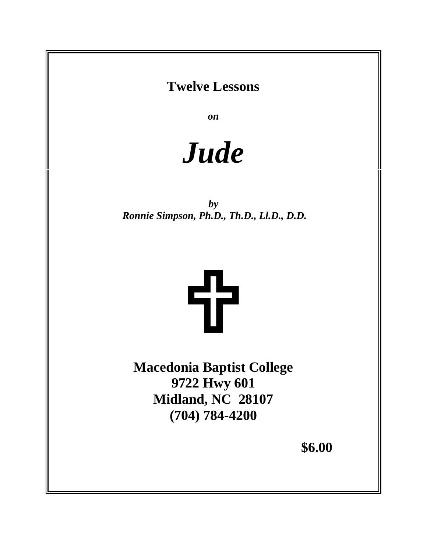# **Twelve Lessons**

*on*

*Jude*

*by Ronnie Simpson, Ph.D., Th.D., Ll.D., D.D.*



**Macedonia Baptist College 9722 Hwy 601 Midland, NC 28107 (704) 784-4200** 

**\$6.00**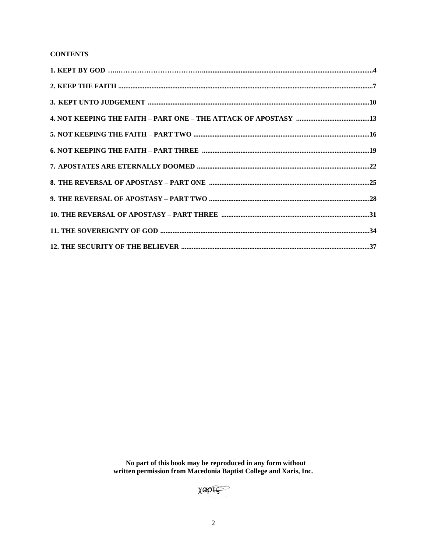## **CONTENTS**

No part of this book may be reproduced in any form without<br>written permission from Macedonia Baptist College and Xaris, Inc.

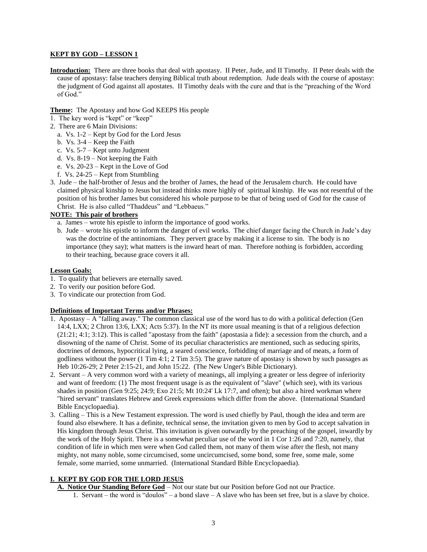#### **KEPT BY GOD – LESSON 1**

**Introduction:** There are three books that deal with apostasy. II Peter, Jude, and II Timothy. II Peter deals with the cause of apostasy: false teachers denying Biblical truth about redemption. Jude deals with the course of apostasy: the judgment of God against all apostates. II Timothy deals with the cure and that is the "preaching of the Word of God."

**Theme:** The Apostasy and how God KEEPS His people

- 1. The key word is "kept" or "keep"
- 2. There are 6 Main Divisions:
	- a. Vs. 1-2 Kept by God for the Lord Jesus
	- b. Vs. 3-4 Keep the Faith
	- c. Vs. 5-7 Kept unto Judgment
	- d. Vs. 8-19 Not keeping the Faith
	- e. Vs. 20-23 Kept in the Love of God
	- f. Vs. 24-25 Kept from Stumbling
- 3. Jude the half-brother of Jesus and the brother of James, the head of the Jerusalem church. He could have claimed physical kinship to Jesus but instead thinks more highly of spiritual kinship. He was not resentful of the position of his brother James but considered his whole purpose to be that of being used of God for the cause of Christ. He is also called "Thaddeus" and "Lebbaeus."

### **NOTE: This pair of brothers**

- a. James wrote his epistle to inform the importance of good works.
- b. Jude wrote his epistle to inform the danger of evil works. The chief danger facing the Church in Jude's day was the doctrine of the antinomians. They pervert grace by making it a license to sin. The body is no importance (they say); what matters is the inward heart of man. Therefore nothing is forbidden, according to their teaching, because grace covers it all.

#### **Lesson Goals:**

- 1. To qualify that believers are eternally saved.
- 2. To verify our position before God.
- 3. To vindicate our protection from God.

#### **Definitions of Important Terms and/or Phrases:**

- 1. Apostasy A "falling away." The common classical use of the word has to do with a political defection (Gen 14:4, LXX; 2 Chron 13:6, LXX; Acts 5:37). In the NT its more usual meaning is that of a religious defection (21:21; 4:1; 3:12). This is called "apostasy from the faith" (apostasia a fide): a secession from the church, and a disowning of the name of Christ. Some of its peculiar characteristics are mentioned, such as seducing spirits, doctrines of demons, hypocritical lying, a seared conscience, forbidding of marriage and of meats, a form of godliness without the power (1 Tim 4:1; 2 Tim 3:5). The grave nature of apostasy is shown by such passages as Heb 10:26-29; 2 Peter 2:15-21, and John 15:22. (The New Unger's Bible Dictionary).
- 2. Servant A very common word with a variety of meanings, all implying a greater or less degree of inferiority and want of freedom: (1) The most frequent usage is as the equivalent of "slave" (which see), with its various shades in position (Gen 9:25; 24:9; Exo 21:5; Mt 10:24' Lk 17:7, and often); but also a hired workman where "hired servant" translates Hebrew and Greek expressions which differ from the above. (International Standard Bible Encyclopaedia).
- 3. Calling This is a New Testament expression. The word is used chiefly by Paul, though the idea and term are found also elsewhere. It has a definite, technical sense, the invitation given to men by God to accept salvation in His kingdom through Jesus Christ. This invitation is given outwardly by the preaching of the gospel, inwardly by the work of the Holy Spirit. There is a somewhat peculiar use of the word in 1 Cor 1:26 and 7:20, namely, that condition of life in which men were when God called them, not many of them wise after the flesh, not many mighty, not many noble, some circumcised, some uncircumcised, some bond, some free, some male, some female, some married, some unmarried. (International Standard Bible Encyclopaedia).

#### **I. KEPT BY GOD FOR THE LORD JESUS**

 **A. Notice Our Standing Before God** – Not our state but our Position before God not our Practice. 1. Servant – the word is "doulos" – a bond slave – A slave who has been set free, but is a slave by choice.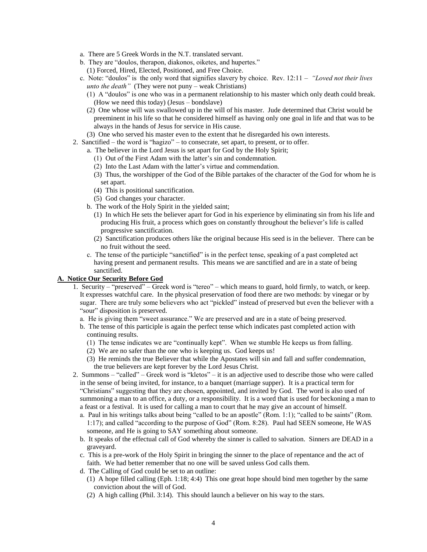- a. There are 5 Greek Words in the N.T. translated servant.
- b. They are "doulos, therapon, diakonos, oiketes, and hupertes."
	- (1) Forced, Hired, Elected, Positioned, and Free Choice.
- c. Note: "doulos" is the only word that signifies slavery by choice. Rev. 12:11 *"Loved not their lives unto the death*" (They were not puny – weak Christians)
	- (1) A "doulos" is one who was in a permanent relationship to his master which only death could break. (How we need this today) (Jesus – bondslave)
	- (2) One whose will was swallowed up in the will of his master. Jude determined that Christ would be preeminent in his life so that he considered himself as having only one goal in life and that was to be always in the hands of Jesus for service in His cause.
	- (3) One who served his master even to the extent that he disregarded his own interests.
- 2. Sanctified the word is "hagizo" to consecrate, set apart, to present, or to offer.
	- a. The believer in the Lord Jesus is set apart for God by the Holy Spirit;
		- (1) Out of the First Adam with the latter's sin and condemnation.
		- (2) Into the Last Adam with the latter's virtue and commendation.
		- (3) Thus, the worshipper of the God of the Bible partakes of the character of the God for whom he is set apart.
		- (4) This is positional sanctification.
		- (5) God changes your character.
	- b. The work of the Holy Spirit in the yielded saint;
		- (1) In which He sets the believer apart for God in his experience by eliminating sin from his life and producing His fruit, a process which goes on constantly throughout the believer's life is called progressive sanctification.
		- (2) Sanctification produces others like the original because His seed is in the believer. There can be no fruit without the seed.
	- c. The tense of the participle "sanctified" is in the perfect tense, speaking of a past completed act having present and permanent results. This means we are sanctified and are in a state of being sanctified.

#### **A. Notice Our Security Before God**

- 1. Security "preserved" Greek word is "tereo" which means to guard, hold firmly, to watch, or keep. It expresses watchful care. In the physical preservation of food there are two methods: by vinegar or by sugar. There are truly some believers who act "pickled" instead of preserved but even the believer with a "sour" disposition is preserved.
	- a. He is giving them "sweet assurance." We are preserved and are in a state of being preserved.
	- b. The tense of this participle is again the perfect tense which indicates past completed action with continuing results.
		- (1) The tense indicates we are "continually kept". When we stumble He keeps us from falling.
		- (2) We are no safer than the one who is keeping us. God keeps us!
		- (3) He reminds the true Believer that while the Apostates will sin and fall and suffer condemnation, the true believers are kept forever by the Lord Jesus Christ.
- 2. Summons "called" Greek word is "kletos" it is an adjective used to describe those who were called in the sense of being invited, for instance, to a banquet (marriage supper). It is a practical term for "Christians" suggesting that they are chosen, appointed, and invited by God. The word is also used of summoning a man to an office, a duty, or a responsibility. It is a word that is used for beckoning a man to a feast or a festival. It is used for calling a man to court that he may give an account of himself.
	- a. Paul in his writings talks about being "called to be an apostle" (Rom. 1:1); "called to be saints" (Rom. 1:17); and called "according to the purpose of God" (Rom. 8:28). Paul had SEEN someone, He WAS someone, and He is going to SAY something about someone.
	- b. It speaks of the effectual call of God whereby the sinner is called to salvation. Sinners are DEAD in a graveyard.
	- c. This is a pre-work of the Holy Spirit in bringing the sinner to the place of repentance and the act of faith. We had better remember that no one will be saved unless God calls them.
	- d. The Calling of God could be set to an outline:
		- (1) A hope filled calling (Eph. 1:18; 4:4) This one great hope should bind men together by the same conviction about the will of God.
		- (2) A high calling (Phil. 3:14). This should launch a believer on his way to the stars.